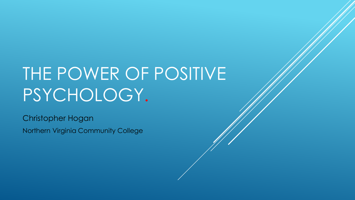# THE POWER OF POSITIVE PSYCHOLOGY.

Christopher Hogan Northern Virginia Community College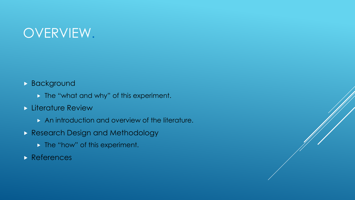# OVERVIEW.

#### **Background**

- **The "what and why" of this experiment.**
- **Literature Review** 
	- An introduction and overview of the literature.
- **Research Design and Methodology** 
	- **The "how" of this experiment.**
- **References**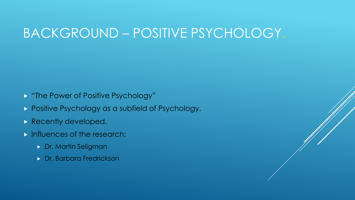# BACKGROUND – POSITIVE PSYCHOLOGY.

- **E** "The Power of Positive Psychology"
- **Positive Psychology as a subfield of Psychology.**
- Recently developed.
- **Influences of the research:** 
	- **Dr. Martin Seligman**
	- **Dr. Barbara Fredrickson**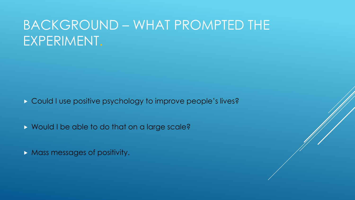# BACKGROUND – WHAT PROMPTED THE EXPERIMENT.

- **Could I use positive psychology to improve people's lives?**
- Would I be able to do that on a large scale?
- **Mass messages of positivity.**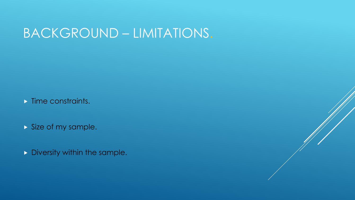### BACKGROUND – LIMITATIONS.

Time constraints.

Size of my sample.

Diversity within the sample.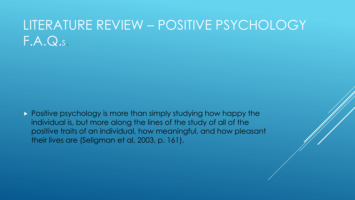# LITERATURE REVIEW – POSITIVE PSYCHOLOGY F.A.Q.S.

Positive psychology is more than simply studying how happy the individual is, but more along the lines of the study of all of the positive traits of an individual, how meaningful, and how pleasant their lives are (Seligman et al, 2003, p. 161).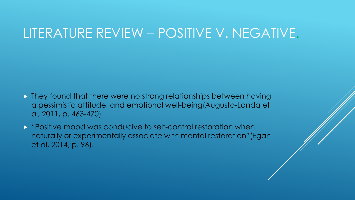#### LITERATURE REVIEW – POSITIVE V. NEGATIVE.

- **They found that there were no strong relationships between having** a pessimistic attitude, and emotional well-being(Augusto-Landa et al, 2011, p. 463-470)
- **D** "Positive mood was conducive to self-control restoration when naturally or experimentally associate with mental restoration"(Egan et al, 2014, p. 96).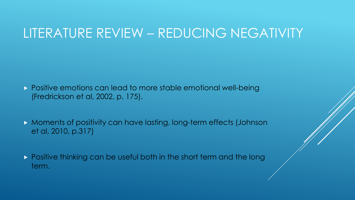#### LITERATURE REVIEW – REDUCING NEGATIVITY

- **Positive emotions can lead to more stable emotional well-being** (Fredrickson et al, 2002, p. 175).
- Moments of positivity can have lasting, long-term effects (Johnson et al, 2010, p.317)
- **Positive thinking can be useful both in the short term and the long** term.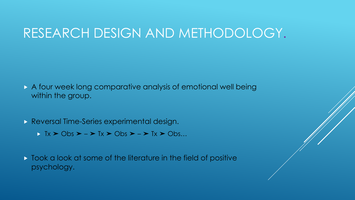#### RESEARCH DESIGN AND METHODOLOGY.

- A four week long comparative analysis of emotional well being within the group.
- **Reversal Time-Series experimental design.** 
	- $\triangleright$  Tx  $\triangleright$  Obs  $\triangleright$   $\rightarrow$  Tx  $\triangleright$  Obs  $\triangleright$   $\rightarrow$  Tx  $\triangleright$  Obs...
- $\triangleright$  Took a look at some of the literature in the field of positive psychology.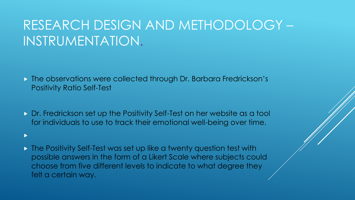# RESEARCH DESIGN AND METHODOLOGY – INSTRUMENTATION.

- The observations were collected through Dr. Barbara Fredrickson's Positivity Ratio Self-Test
- Dr. Fredrickson set up the Positivity Self-Test on her website as a tool for individuals to use to track their emotional well-being over time.

 $\blacktriangleright$ 

**The Positivity Self-Test was set up like a twenty question test with** possible answers in the form of a Likert Scale where subjects could choose from five different levels to indicate to what degree they felt a certain way.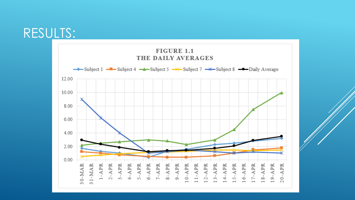#### RESULTS:

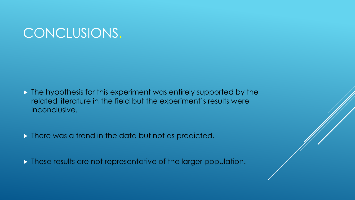# CONCLUSIONS.

- $\triangleright$  The hypothesis for this experiment was entirely supported by the related literature in the field but the experiment's results were inconclusive.
- **There was a trend in the data but not as predicted.**
- **These results are not representative of the larger population.**